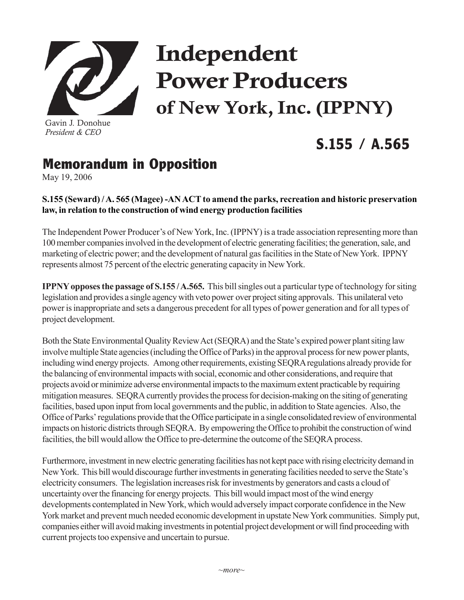

Gavin J. Donohue *President & CEO*

# Independent Power Producers of New York, Inc. (IPPNY)

## **S.155 / A.565**

## **Memorandum in Opposition**

May 19, 2006

### **S.155 (Seward) / A. 565 (Magee) -AN ACT to amend the parks, recreation and historic preservation law, in relation to the construction of wind energy production facilities**

The Independent Power Producer's of New York, Inc. (IPPNY) is a trade association representing more than 100 member companies involved in the development of electric generating facilities; the generation, sale, and marketing of electric power; and the development of natural gas facilities in the State of New York. IPPNY represents almost 75 percent of the electric generating capacity in New York.

**IPPNY opposes the passage of S.155 / A.565.** This bill singles out a particular type of technology for siting legislation and provides a single agency with veto power over project siting approvals. This unilateral veto power is inappropriate and sets a dangerous precedent for all types of power generation and for all types of project development.

Both the State Environmental Quality Review Act (SEQRA) and the State's expired power plant siting law involve multiple State agencies (including the Office of Parks) in the approval process for new power plants, including wind energy projects. Among other requirements, existing SEQRA regulations already provide for the balancing of environmental impacts with social, economic and other considerations, and require that projects avoid or minimize adverse environmental impacts to the maximum extent practicable by requiring mitigation measures. SEQRA currently provides the process for decision-making on the siting of generating facilities, based upon input from local governments and the public, in addition to State agencies. Also, the Office of Parks' regulations provide that the Office participate in a single consolidated review of environmental impacts on historic districts through SEQRA. By empowering the Office to prohibit the construction of wind facilities, the bill would allow the Office to pre-determine the outcome of the SEQRA process.

Furthermore, investment in new electric generating facilities has not kept pace with rising electricity demand in New York. This bill would discourage further investments in generating facilities needed to serve the State's electricity consumers. The legislation increases risk for investments by generators and casts a cloud of uncertainty over the financing for energy projects. This bill would impact most of the wind energy developments contemplated in New York, which would adversely impact corporate confidence in the New York market and prevent much needed economic development in upstate New York communities. Simply put, companies either will avoid making investments in potential project development or will find proceeding with current projects too expensive and uncertain to pursue.